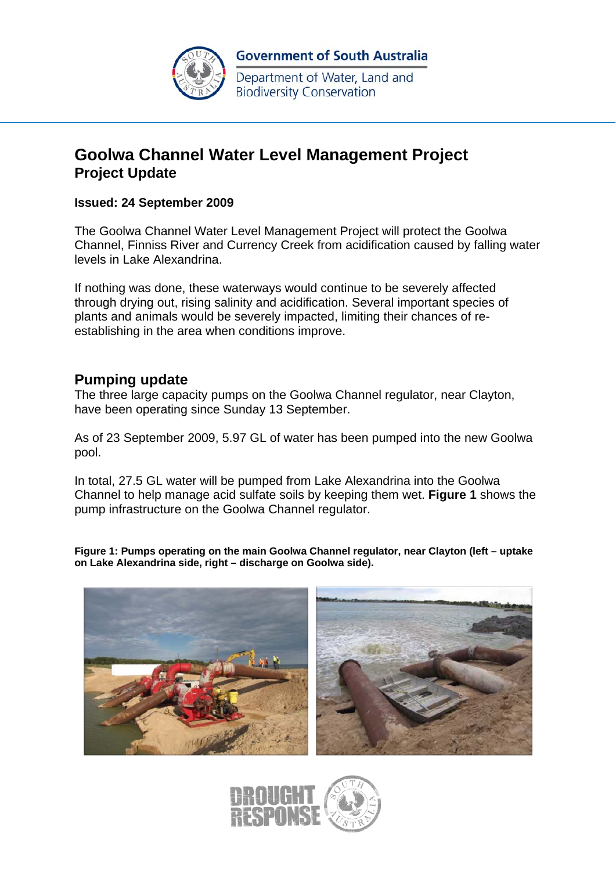

Department of Water, Land and **Biodiversity Conservation** 

# **Goolwa Channel Water Level Management Project Project Update**

#### **Issued: 24 September 2009**

The Goolwa Channel Water Level Management Project will protect the Goolwa Channel, Finniss River and Currency Creek from acidification caused by falling water levels in Lake Alexandrina.

If nothing was done, these waterways would continue to be severely affected through drying out, rising salinity and acidification. Several important species of plants and animals would be severely impacted, limiting their chances of reestablishing in the area when conditions improve.

### **Pumping update**

The three large capacity pumps on the Goolwa Channel regulator, near Clayton, have been operating since Sunday 13 September.

As of 23 September 2009, 5.97 GL of water has been pumped into the new Goolwa pool.

In total, 27.5 GL water will be pumped from Lake Alexandrina into the Goolwa Channel to help manage acid sulfate soils by keeping them wet. **Figure 1** shows the pump infrastructure on the Goolwa Channel regulator.

**Figure 1: Pumps operating on the main Goolwa Channel regulator, near Clayton (left – uptake on Lake Alexandrina side, right – discharge on Goolwa side).** 



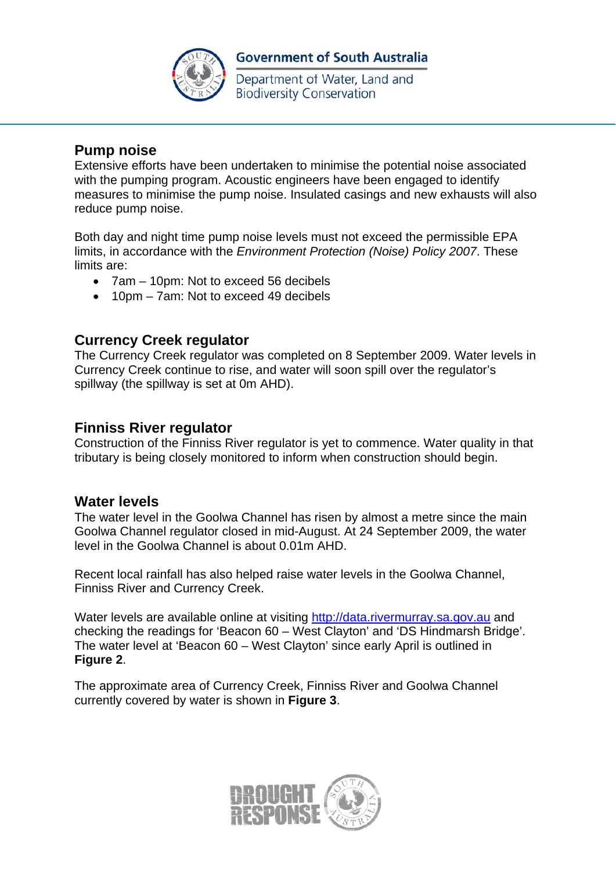

# **Government of South Australia**

Department of Water, Land and **Biodiversity Conservation** 

## **Pump noise**

Extensive efforts have been undertaken to minimise the potential noise associated with the pumping program. Acoustic engineers have been engaged to identify measures to minimise the pump noise. Insulated casings and new exhausts will also reduce pump noise.

Both day and night time pump noise levels must not exceed the permissible EPA limits, in accordance with the *Environment Protection (Noise) Policy 2007*. These limits are:

- 7am 10pm: Not to exceed 56 decibels
- 10pm 7am: Not to exceed 49 decibels

# **Currency Creek regulator**

The Currency Creek regulator was completed on 8 September 2009. Water levels in Currency Creek continue to rise, and water will soon spill over the regulator's spillway (the spillway is set at 0m AHD).

### **Finniss River regulator**

Construction of the Finniss River regulator is yet to commence. Water quality in that tributary is being closely monitored to inform when construction should begin.

#### **Water levels**

The water level in the Goolwa Channel has risen by almost a metre since the main Goolwa Channel regulator closed in mid-August. At 24 September 2009, the water level in the Goolwa Channel is about 0.01m AHD.

Recent local rainfall has also helped raise water levels in the Goolwa Channel, Finniss River and Currency Creek.

Water levels are available online at visiting http://data.rivermurray.sa.gov.au and checking the readings for 'Beacon 60 – West Clayton' and 'DS Hindmarsh Bridge'. The water level at 'Beacon 60 – West Clayton' since early April is outlined in **Figure 2**.

The approximate area of Currency Creek, Finniss River and Goolwa Channel currently covered by water is shown in **Figure 3**.